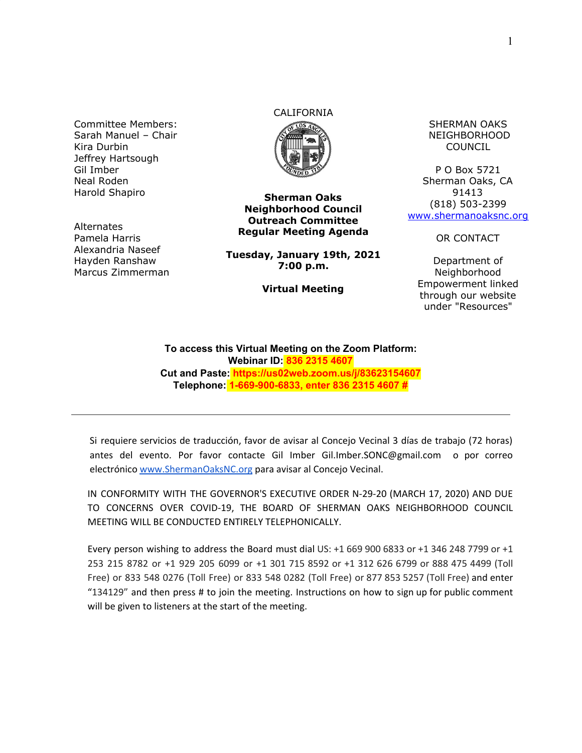Committee Members: Sarah Manuel – Chair Kira Durbin Jeffrey Hartsough Gil Imber Neal Roden Harold Shapiro

**Alternates** Pamela Harris Alexandria Naseef Hayden Ranshaw Marcus Zimmerman

## CALIFORNIA



**Sherman Oaks Neighborhood Council Outreach Committee Regular Meeting Agenda**

**Tuesday, January 19th, 2021 7:00 p.m.**

**Virtual Meeting**

SHERMAN OAKS NEIGHBORHOOD COUNCIL

P O Box 5721 Sherman Oaks, CA 91413 (818) 503-2399 [www.shermanoaksnc.org](http://www.shermanoaksnc.org/)

OR CONTACT

Department of Neighborhood Empowerment linked through our website under "Resources"

**To access this Virtual Meeting on the Zoom Platform: Webinar ID: 836 2315 4607 Cut and Paste: https://us02web.zoom.us/j/83623154607 Telephone: 1-669-900-6833, enter 836 2315 4607 #**

Si requiere servicios de traducción, favor de avisar al Concejo Vecinal 3 días de trabajo (72 horas) antes del evento. Por favor contacte Gil Imber Gil.Imber.SONC@gmail.com o por correo electrónico [www.ShermanOaksNC.org](http://www.shermanoaksnc.org/) para avisar al Concejo Vecinal.

IN CONFORMITY WITH THE GOVERNOR'S EXECUTIVE ORDER N-29-20 (MARCH 17, 2020) AND DUE TO CONCERNS OVER COVID-19, THE BOARD OF SHERMAN OAKS NEIGHBORHOOD COUNCIL MEETING WILL BE CONDUCTED ENTIRELY TELEPHONICALLY.

Every person wishing to address the Board must dial US: +1 669 900 6833 or +1 346 248 7799 or +1 253 215 8782 or +1 929 205 6099 or +1 301 715 8592 or +1 312 626 6799 or 888 475 4499 (Toll Free) or 833 548 0276 (Toll Free) or 833 548 0282 (Toll Free) or 877 853 5257 (Toll Free) and enter "134129" and then press # to join the meeting. Instructions on how to sign up for public comment will be given to listeners at the start of the meeting.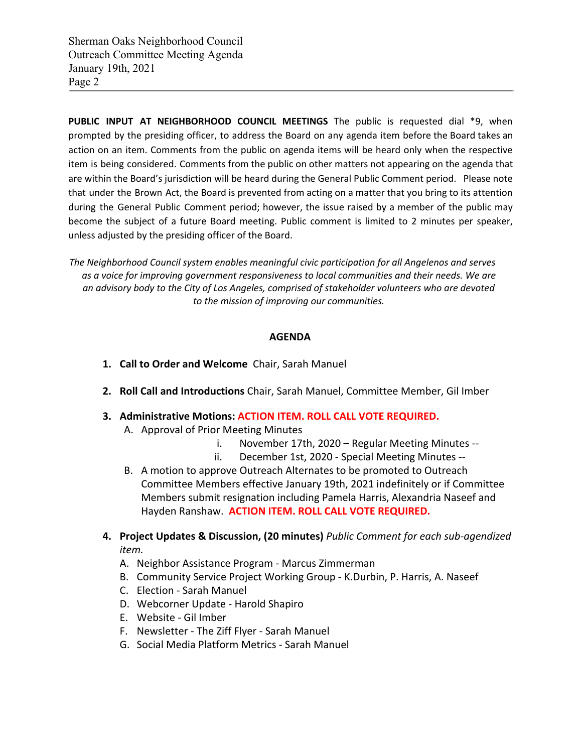Sherman Oaks Neighborhood Council Outreach Committee Meeting Agenda January 19th, 2021 Page 2

**PUBLIC INPUT AT NEIGHBORHOOD COUNCIL MEETINGS** The public is requested dial \*9, when prompted by the presiding officer, to address the Board on any agenda item before the Board takes an action on an item. Comments from the public on agenda items will be heard only when the respective item is being considered. Comments from the public on other matters not appearing on the agenda that are within the Board's jurisdiction will be heard during the General Public Comment period. Please note that under the Brown Act, the Board is prevented from acting on a matter that you bring to its attention during the General Public Comment period; however, the issue raised by a member of the public may become the subject of a future Board meeting. Public comment is limited to 2 minutes per speaker, unless adjusted by the presiding officer of the Board.

*The Neighborhood Council system enables meaningful civic participation for all Angelenos and serves as a voice for improving government responsiveness to local communities and their needs. We are an advisory body to the City of Los Angeles, comprised of stakeholder volunteers who are devoted to the mission of improving our communities.*

## **AGENDA**

- **1. Call to Order and Welcome** Chair, Sarah Manuel
- **2. Roll Call and Introductions** Chair, Sarah Manuel, Committee Member, Gil Imber
- **3. Administrative Motions: ACTION ITEM. ROLL CALL VOTE REQUIRED.**
	- A. Approval of Prior Meeting Minutes
		- i. November 17th, 2020 Regular Meeting Minutes --
		- ii. December 1st, 2020 Special Meeting Minutes --
	- B. A motion to approve Outreach Alternates to be promoted to Outreach Committee Members effective January 19th, 2021 indefinitely or if Committee Members submit resignation including Pamela Harris, Alexandria Naseef and Hayden Ranshaw. **ACTION ITEM. ROLL CALL VOTE REQUIRED.**
- **4. Project Updates & Discussion, (20 minutes)** *Public Comment for each sub-agendized item.*
	- A. Neighbor Assistance Program Marcus Zimmerman
	- B. Community Service Project Working Group K.Durbin, P. Harris, A. Naseef
	- C. Election Sarah Manuel
	- D. Webcorner Update Harold Shapiro
	- E. Website Gil Imber
	- F. Newsletter The Ziff Flyer Sarah Manuel
	- G. Social Media Platform Metrics Sarah Manuel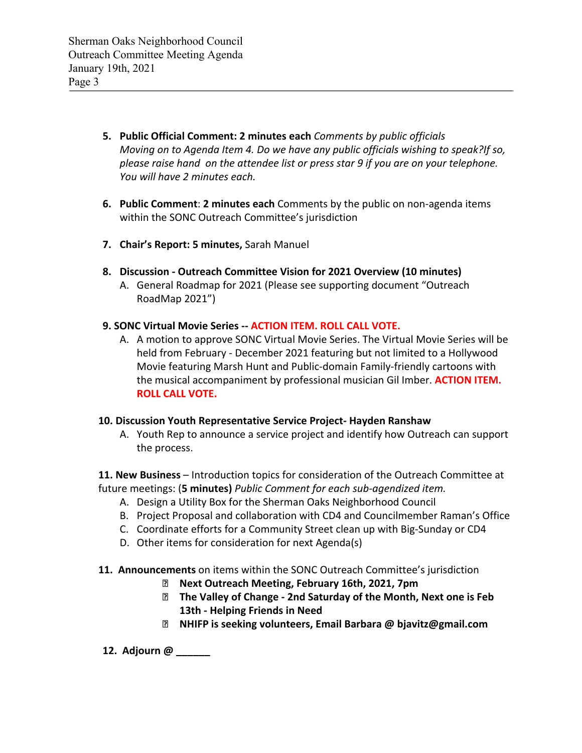- **5. Public Official Comment: 2 minutes each** *Comments by public officials Moving on to Agenda Item 4. Do we have any public officials wishing to speak?If so, please raise hand on the attendee list or press star 9 if you are on your telephone. You will have 2 minutes each.*
- **6. Public Comment**: **2 minutes each** Comments by the public on non-agenda items within the SONC Outreach Committee's jurisdiction
- **7. Chair's Report: 5 minutes,** Sarah Manuel
- **8. Discussion Outreach Committee Vision for 2021 Overview (10 minutes)**
	- A. General Roadmap for 2021 (Please see supporting document "Outreach RoadMap 2021")
- **9. SONC Virtual Movie Series -- ACTION ITEM. ROLL CALL VOTE.**
	- A. A motion to approve SONC Virtual Movie Series. The Virtual Movie Series will be held from February - December 2021 featuring but not limited to a Hollywood Movie featuring Marsh Hunt and Public-domain Family-friendly cartoons with the musical accompaniment by professional musician Gil Imber. **ACTION ITEM. ROLL CALL VOTE.**

## **10. Discussion Youth Representative Service Project- Hayden Ranshaw**

A. Youth Rep to announce a service project and identify how Outreach can support the process.

**11. New Business** – Introduction topics for consideration of the Outreach Committee at future meetings: (**5 minutes)** *Public Comment for each sub-agendized item.*

- A. Design a Utility Box for the Sherman Oaks Neighborhood Council
- B. Project Proposal and collaboration with CD4 and Councilmember Raman's Office
- C. Coordinate efforts for a Community Street clean up with Big-Sunday or CD4
- D. Other items for consideration for next Agenda(s)
- **11. Announcements** on items within the SONC Outreach Committee's jurisdiction
	- **Next Outreach Meeting, February 16th, 2021, 7pm**
	- **The Valley of Change 2nd Saturday of the Month, Next one is Feb 13th - Helping Friends in Need**
	- **NHIFP is seeking volunteers, Email Barbara @ bjavitz@gmail.com**
- **12. Adjourn @ \_\_\_\_\_\_**